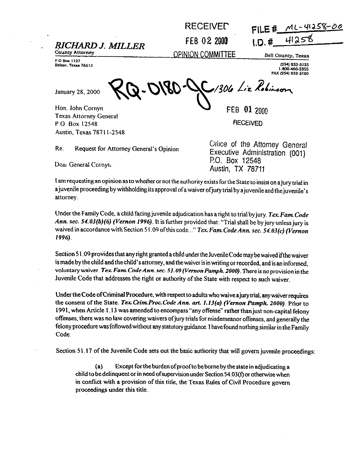## RECEIVED

## RICHARD J. MILLER FEB 02 2000 \,D, # 4(25)<br>
<u>County Attorney</u><br>
<u>County Attorney</u> DPINION COMMITTEE Bell County, Texas

**Belton, Texas 76513** 

January 28, 2000

**County Attorney**<br>**BO Box 1127**<br>**BO Box 1127** 

Belton. Texas 76513<br>1-800-460-2355 **I-1100-2555 PAX rzs4,933-51.50** 

1306 Liz Robinson

Hon. John Comyn Texas Attorney General P.O. Box 12548 Austin. Texas 787 I I-2548

FEB 01 2nnn

**RECEIVED** 

Re: Request for Attorney General's Opinion

Deal General Cornyn.

**Office of the Attorney General** Executive Administration **(001)**  PO. Box 12548 Austin, TX 78711

I am requesting an opinion as to whether or not the authority exists for the State to insist on a jury trial in a juvenile proceeding by withholding its approval of a waiver of jury trial by a juvenile and the juvenile's attorney.

Under the Family Code, a child facing juvenile adjudication has a right to trial by jury. Tex. Fam. Code Ann. sec. 54.03(b)(6) (Vernon 1996). It is further provided that: "Trial shall be by jury unless jury is waived in accordance with Section 51.09 of this code..." *Tex. Fam. Code Ann. sec. 54.03(c) (Vernon* 1996).

Section 51.09 provides that any right granted a child under the Juvenile Code may be waived if the waiver is made by the child and the child's attorney, and the waiver is in writing or recorded, and is an informed, voluntary waiver. *Tex. Fam. Code Ann. sec. 51.09 (Vernon Pamph. 2000)*. There is no provision in the Juvenile Code that addresses the right or authority of the State with respect to such waiver.

Under the Code of Criminal Procedure, with respect to adults who waive a jury trial, any waiver requires the consent ofthe State. *Tex.GintProcCode Ann. mt 1.13(o) (Vernon Pnmpk 2000).* Prior to 199 1. when Article 1.13 was amended to encompass"any offense" rather than just non-capital felony offenses. there was no law covering waivers ofjury trials for misdemeanor offenses. and generally the felony procedure was followed without any statutory guidance. I have found nothing similar in the Family Code.

Section 51.17 of the Juvenile Code sets out the basic authority that will govern juvenile proceedings:

*(a)* Except fortheburden ofproofto bebome by thestatein adjudicating a child to be delinquent or in need of supervision under Section  $54.03(f)$  or otherwise when in contlict with a provision of this title, the Texas Rules of Civil Procedure govern proceedings under this title.